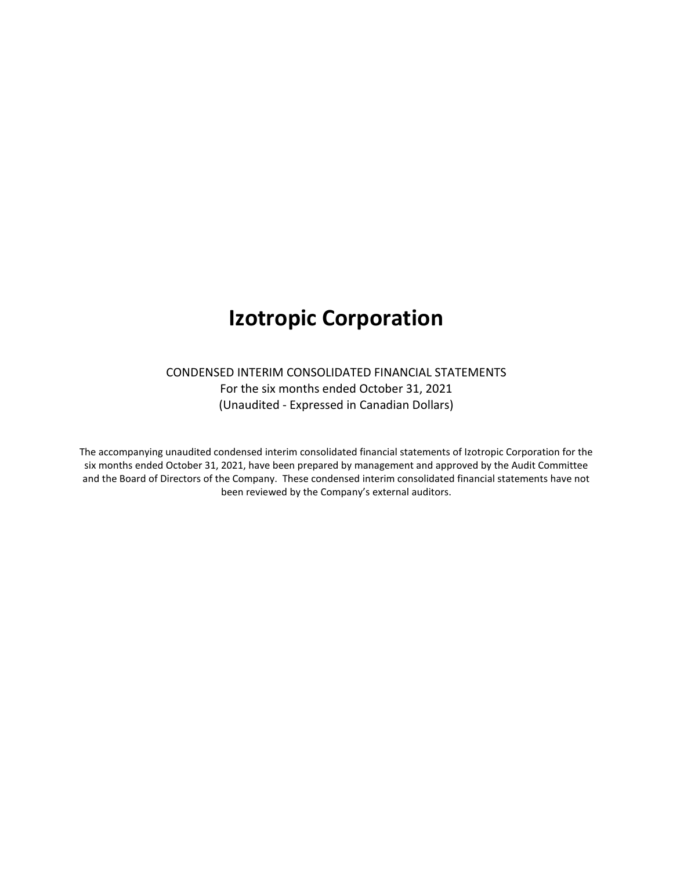# **Izotropic Corporation**

# CONDENSED INTERIM CONSOLIDATED FINANCIAL STATEMENTS For the six months ended October 31, 2021 (Unaudited - Expressed in Canadian Dollars)

The accompanying unaudited condensed interim consolidated financial statements of Izotropic Corporation for the six months ended October 31, 2021, have been prepared by management and approved by the Audit Committee and the Board of Directors of the Company. These condensed interim consolidated financial statements have not been reviewed by the Company's external auditors.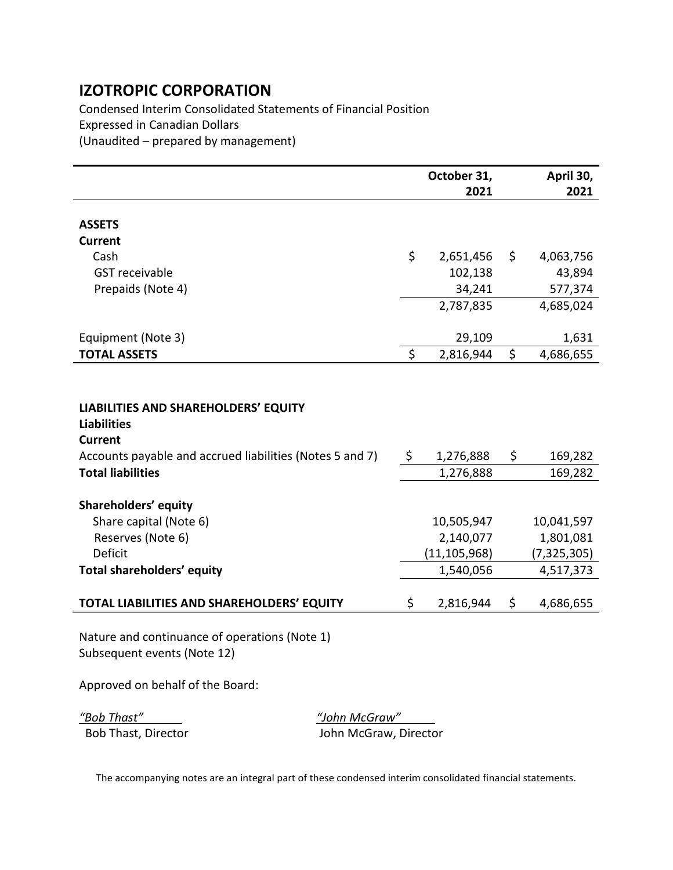Condensed Interim Consolidated Statements of Financial Position Expressed in Canadian Dollars (Unaudited – prepared by management)

|                                                                                                                                                 | October 31,     | April 30,       |
|-------------------------------------------------------------------------------------------------------------------------------------------------|-----------------|-----------------|
|                                                                                                                                                 | 2021            | 2021            |
| <b>ASSETS</b>                                                                                                                                   |                 |                 |
| <b>Current</b>                                                                                                                                  |                 |                 |
| Cash                                                                                                                                            | \$<br>2,651,456 | \$<br>4,063,756 |
| <b>GST</b> receivable                                                                                                                           | 102,138         | 43,894          |
| Prepaids (Note 4)                                                                                                                               | 34,241          | 577,374         |
|                                                                                                                                                 | 2,787,835       | 4,685,024       |
| Equipment (Note 3)                                                                                                                              | 29,109          | 1,631           |
| <b>TOTAL ASSETS</b>                                                                                                                             | \$<br>2,816,944 | \$<br>4,686,655 |
| <b>LIABILITIES AND SHAREHOLDERS' EQUITY</b><br><b>Liabilities</b><br><b>Current</b><br>Accounts payable and accrued liabilities (Notes 5 and 7) | \$<br>1,276,888 | \$<br>169,282   |
| <b>Total liabilities</b>                                                                                                                        | 1,276,888       | 169,282         |
| Shareholders' equity                                                                                                                            |                 |                 |
| Share capital (Note 6)                                                                                                                          | 10,505,947      | 10,041,597      |
| Reserves (Note 6)                                                                                                                               | 2,140,077       | 1,801,081       |
| <b>Deficit</b>                                                                                                                                  | (11, 105, 968)  | (7, 325, 305)   |
| Total shareholders' equity                                                                                                                      | 1,540,056       | 4,517,373       |
| TOTAL LIABILITIES AND SHAREHOLDERS' EQUITY                                                                                                      | \$<br>2,816,944 | \$<br>4,686,655 |
| Nature and continuance of operations (Note 1)                                                                                                   |                 |                 |

Subsequent events (Note 12)

Approved on behalf of the Board:

*"Bob Thast" "John McGraw"* Bob Thast, Director **Matube 20 Iohn McGraw, Director**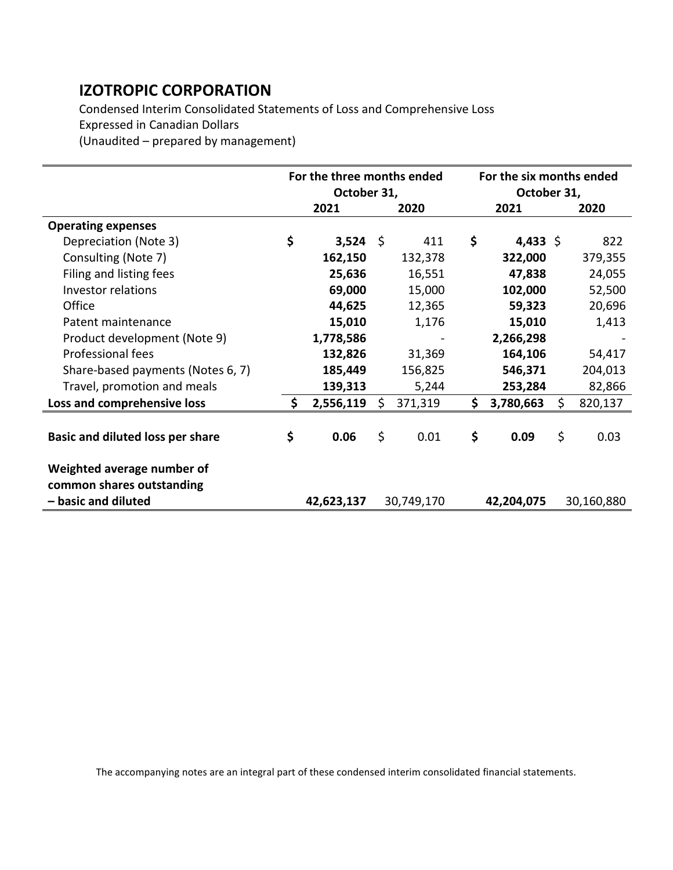Condensed Interim Consolidated Statements of Loss and Comprehensive Loss Expressed in Canadian Dollars

(Unaudited – prepared by management)

|                                         | For the three months ended<br>October 31, |            |    | For the six months ended<br>October 31, |      |            |    |            |
|-----------------------------------------|-------------------------------------------|------------|----|-----------------------------------------|------|------------|----|------------|
|                                         |                                           | 2021       |    | 2020                                    | 2021 |            |    | 2020       |
| <b>Operating expenses</b>               |                                           |            |    |                                         |      |            |    |            |
| Depreciation (Note 3)                   | \$                                        | $3,524$ \$ |    | 411                                     | \$   | 4,433 \$   |    | 822        |
| Consulting (Note 7)                     |                                           | 162,150    |    | 132,378                                 |      | 322,000    |    | 379,355    |
| Filing and listing fees                 |                                           | 25,636     |    | 16,551                                  |      | 47,838     |    | 24,055     |
| Investor relations                      |                                           | 69,000     |    | 15,000                                  |      | 102,000    |    | 52,500     |
| Office                                  |                                           | 44,625     |    | 12,365                                  |      | 59,323     |    | 20,696     |
| Patent maintenance                      |                                           | 15,010     |    | 1,176                                   |      | 15,010     |    | 1,413      |
| Product development (Note 9)            |                                           | 1,778,586  |    |                                         |      | 2,266,298  |    |            |
| Professional fees                       |                                           | 132,826    |    | 31,369                                  |      | 164,106    |    | 54,417     |
| Share-based payments (Notes 6, 7)       |                                           | 185,449    |    | 156,825                                 |      | 546,371    |    | 204,013    |
| Travel, promotion and meals             |                                           | 139,313    |    | 5,244                                   |      | 253,284    |    | 82,866     |
| Loss and comprehensive loss             | S.                                        | 2,556,119  | Ŝ. | 371,319                                 | \$   | 3,780,663  | \$ | 820,137    |
|                                         |                                           |            |    |                                         |      |            |    |            |
| <b>Basic and diluted loss per share</b> | \$                                        | 0.06       | \$ | 0.01                                    | \$   | 0.09       | \$ | 0.03       |
| Weighted average number of              |                                           |            |    |                                         |      |            |    |            |
| common shares outstanding               |                                           |            |    |                                         |      |            |    |            |
| - basic and diluted                     |                                           | 42,623,137 |    | 30,749,170                              |      | 42,204,075 |    | 30,160,880 |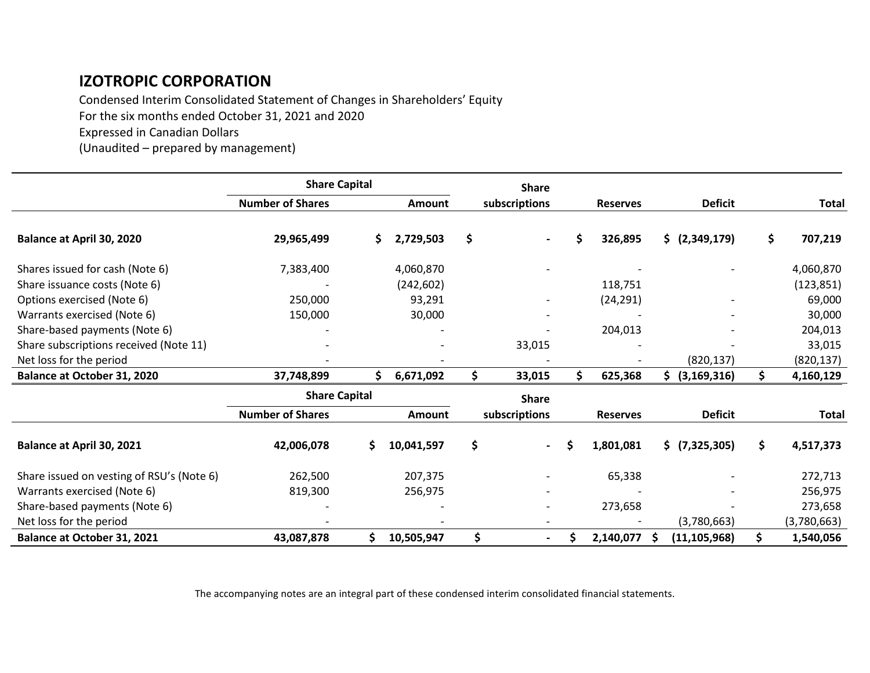Condensed Interim Consolidated Statement of Changes in Shareholders' Equity For the six months ended October 31, 2021 and 2020 Expressed in Canadian Dollars

(Unaudited – prepared by management)

|                                           | <b>Share Capital</b>    |    |               |     | <b>Share</b>  |   |                 |    |                           |    |              |
|-------------------------------------------|-------------------------|----|---------------|-----|---------------|---|-----------------|----|---------------------------|----|--------------|
|                                           | <b>Number of Shares</b> |    | Amount        |     | subscriptions |   | <b>Reserves</b> |    | <b>Deficit</b>            |    | <b>Total</b> |
| <b>Balance at April 30, 2020</b>          | 29,965,499              | S. | 2,729,503     | \$  |               | Ś | 326,895         |    | $\frac{1}{2}$ (2,349,179) | \$ | 707,219      |
| Shares issued for cash (Note 6)           | 7,383,400               |    | 4,060,870     |     |               |   |                 |    |                           |    | 4,060,870    |
| Share issuance costs (Note 6)             |                         |    | (242, 602)    |     |               |   | 118,751         |    |                           |    | (123, 851)   |
| Options exercised (Note 6)                | 250,000                 |    | 93,291        |     |               |   | (24, 291)       |    |                           |    | 69,000       |
| Warrants exercised (Note 6)               | 150,000                 |    | 30,000        |     |               |   |                 |    |                           |    | 30,000       |
| Share-based payments (Note 6)             |                         |    |               |     |               |   | 204,013         |    |                           |    | 204,013      |
| Share subscriptions received (Note 11)    |                         |    |               |     | 33,015        |   |                 |    |                           |    | 33,015       |
| Net loss for the period                   |                         |    |               |     |               |   |                 |    | (820, 137)                |    | (820, 137)   |
| <b>Balance at October 31, 2020</b>        | 37,748,899              | \$ | 6,671,092     | \$. | 33,015        | Ś | 625,368         | Ś. | (3, 169, 316)             | S. | 4,160,129    |
|                                           | <b>Share Capital</b>    |    |               |     | <b>Share</b>  |   |                 |    |                           |    |              |
|                                           | <b>Number of Shares</b> |    | <b>Amount</b> |     | subscriptions |   | <b>Reserves</b> |    | <b>Deficit</b>            |    | <b>Total</b> |
| Balance at April 30, 2021                 | 42,006,078              | Ś. | 10,041,597    | \$  |               |   | 1,801,081       |    | \$ (7,325,305)            | \$ | 4,517,373    |
| Share issued on vesting of RSU's (Note 6) | 262,500                 |    | 207,375       |     |               |   | 65,338          |    |                           |    | 272,713      |
| Warrants exercised (Note 6)               | 819,300                 |    | 256,975       |     |               |   |                 |    |                           |    | 256,975      |
| Share-based payments (Note 6)             |                         |    |               |     |               |   | 273,658         |    |                           |    | 273,658      |
| Net loss for the period                   |                         |    |               |     |               |   |                 |    | (3,780,663)               |    | (3,780,663)  |
| Balance at October 31, 2021               | 43,087,878              |    | 10,505,947    | \$  |               |   | 2,140,077       | S  | (11, 105, 968)            | \$ | 1,540,056    |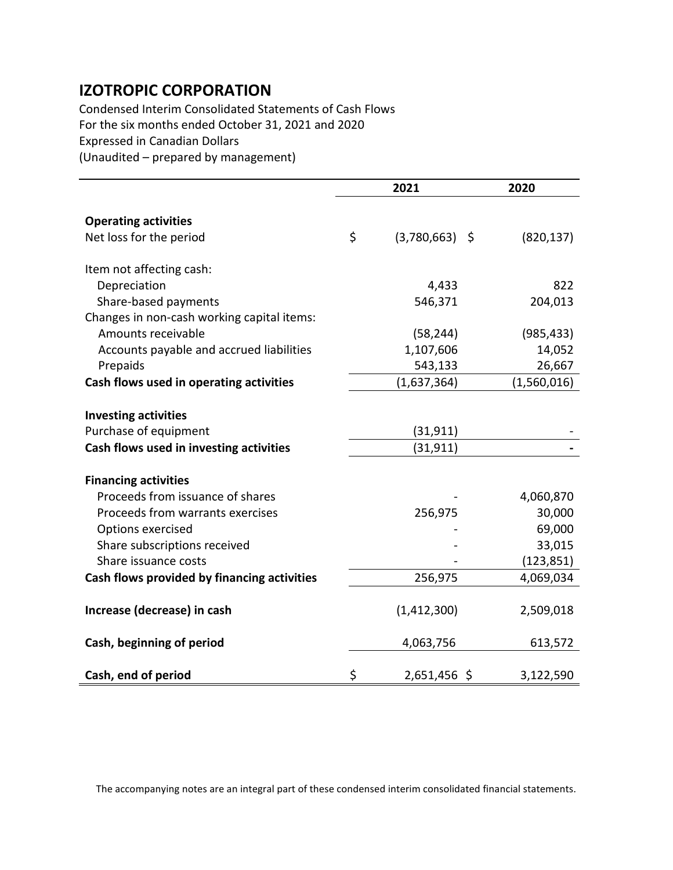Condensed Interim Consolidated Statements of Cash Flows For the six months ended October 31, 2021 and 2020 Expressed in Canadian Dollars (Unaudited – prepared by management)

|                                             | 2021                   | 2020        |
|---------------------------------------------|------------------------|-------------|
|                                             |                        |             |
| <b>Operating activities</b>                 |                        |             |
| Net loss for the period                     | \$<br>$(3,780,663)$ \$ | (820, 137)  |
| Item not affecting cash:                    |                        |             |
| Depreciation                                | 4,433                  | 822         |
| Share-based payments                        | 546,371                | 204,013     |
| Changes in non-cash working capital items:  |                        |             |
| Amounts receivable                          | (58, 244)              | (985, 433)  |
| Accounts payable and accrued liabilities    | 1,107,606              | 14,052      |
| Prepaids                                    | 543,133                | 26,667      |
| Cash flows used in operating activities     | (1,637,364)            | (1,560,016) |
|                                             |                        |             |
| <b>Investing activities</b>                 |                        |             |
| Purchase of equipment                       | (31, 911)              |             |
| Cash flows used in investing activities     | (31, 911)              |             |
| <b>Financing activities</b>                 |                        |             |
| Proceeds from issuance of shares            |                        | 4,060,870   |
| Proceeds from warrants exercises            | 256,975                | 30,000      |
| Options exercised                           |                        | 69,000      |
| Share subscriptions received                |                        | 33,015      |
| Share issuance costs                        |                        | (123, 851)  |
| Cash flows provided by financing activities | 256,975                | 4,069,034   |
|                                             |                        |             |
| Increase (decrease) in cash                 | (1,412,300)            | 2,509,018   |
| Cash, beginning of period                   | 4,063,756              | 613,572     |
| Cash, end of period                         | \$<br>2,651,456 \$     | 3,122,590   |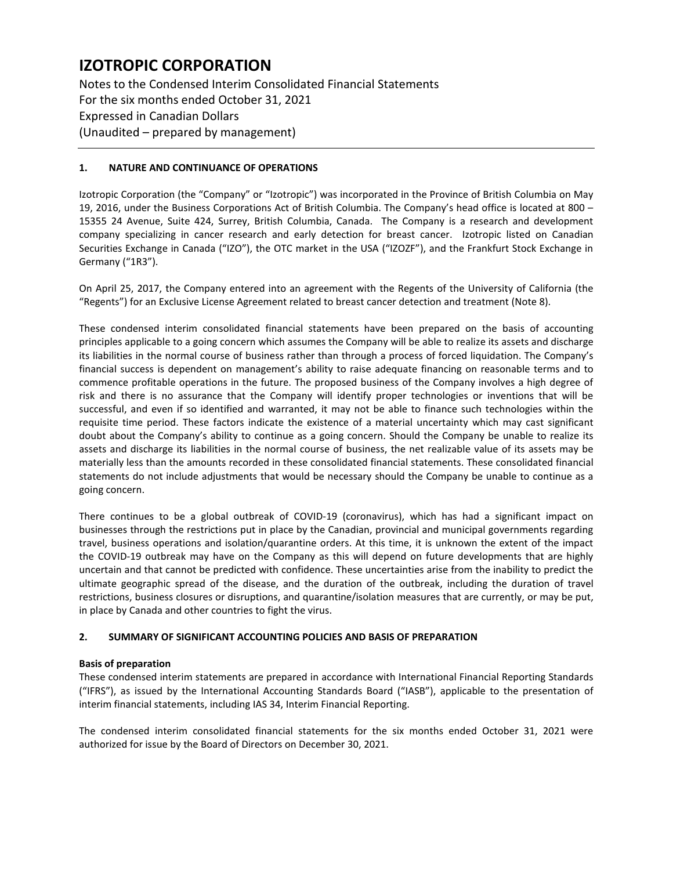Notes to the Condensed Interim Consolidated Financial Statements For the six months ended October 31, 2021 Expressed in Canadian Dollars (Unaudited – prepared by management)

# **1. NATURE AND CONTINUANCE OF OPERATIONS**

Izotropic Corporation (the "Company" or "Izotropic") was incorporated in the Province of British Columbia on May 19, 2016, under the Business Corporations Act of British Columbia. The Company's head office is located at 800 – 15355 24 Avenue, Suite 424, Surrey, British Columbia, Canada. The Company is a research and development company specializing in cancer research and early detection for breast cancer. Izotropic listed on Canadian Securities Exchange in Canada ("IZO"), the OTC market in the USA ("IZOZF"), and the Frankfurt Stock Exchange in Germany ("1R3").

On April 25, 2017, the Company entered into an agreement with the Regents of the University of California (the "Regents") for an Exclusive License Agreement related to breast cancer detection and treatment (Note 8).

These condensed interim consolidated financial statements have been prepared on the basis of accounting principles applicable to a going concern which assumes the Company will be able to realize its assets and discharge its liabilities in the normal course of business rather than through a process of forced liquidation. The Company's financial success is dependent on management's ability to raise adequate financing on reasonable terms and to commence profitable operations in the future. The proposed business of the Company involves a high degree of risk and there is no assurance that the Company will identify proper technologies or inventions that will be successful, and even if so identified and warranted, it may not be able to finance such technologies within the requisite time period. These factors indicate the existence of a material uncertainty which may cast significant doubt about the Company's ability to continue as a going concern. Should the Company be unable to realize its assets and discharge its liabilities in the normal course of business, the net realizable value of its assets may be materially less than the amounts recorded in these consolidated financial statements. These consolidated financial statements do not include adjustments that would be necessary should the Company be unable to continue as a going concern.

There continues to be a global outbreak of COVID-19 (coronavirus), which has had a significant impact on businesses through the restrictions put in place by the Canadian, provincial and municipal governments regarding travel, business operations and isolation/quarantine orders. At this time, it is unknown the extent of the impact the COVID-19 outbreak may have on the Company as this will depend on future developments that are highly uncertain and that cannot be predicted with confidence. These uncertainties arise from the inability to predict the ultimate geographic spread of the disease, and the duration of the outbreak, including the duration of travel restrictions, business closures or disruptions, and quarantine/isolation measures that are currently, or may be put, in place by Canada and other countries to fight the virus.

# **2. SUMMARY OF SIGNIFICANT ACCOUNTING POLICIES AND BASIS OF PREPARATION**

# **Basis of preparation**

These condensed interim statements are prepared in accordance with International Financial Reporting Standards ("IFRS"), as issued by the International Accounting Standards Board ("IASB"), applicable to the presentation of interim financial statements, including IAS 34, Interim Financial Reporting.

The condensed interim consolidated financial statements for the six months ended October 31, 2021 were authorized for issue by the Board of Directors on December 30, 2021.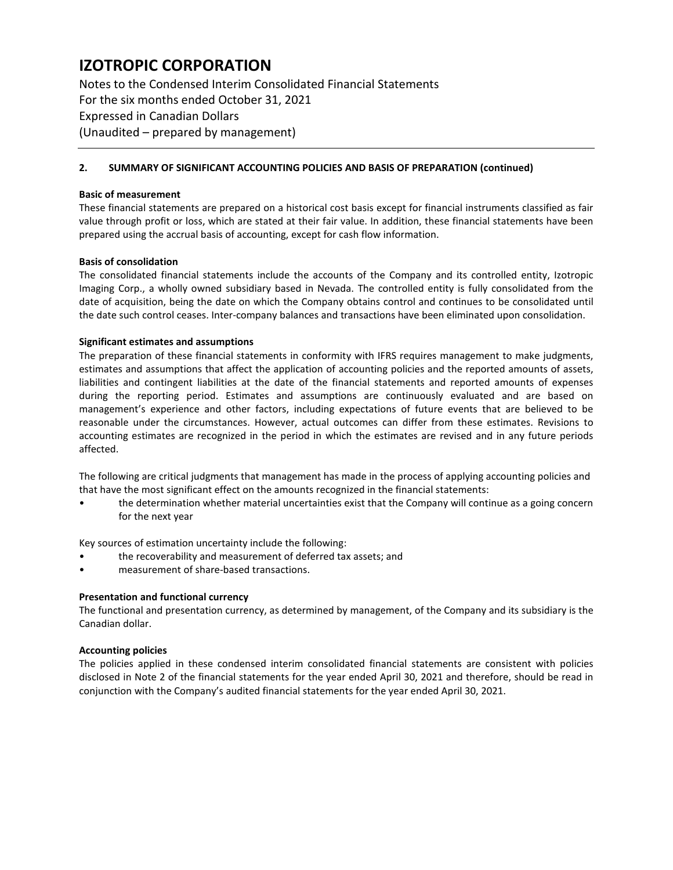Notes to the Condensed Interim Consolidated Financial Statements For the six months ended October 31, 2021 Expressed in Canadian Dollars (Unaudited – prepared by management)

### **2. SUMMARY OF SIGNIFICANT ACCOUNTING POLICIES AND BASIS OF PREPARATION (continued)**

#### **Basic of measurement**

These financial statements are prepared on a historical cost basis except for financial instruments classified as fair value through profit or loss, which are stated at their fair value. In addition, these financial statements have been prepared using the accrual basis of accounting, except for cash flow information.

### **Basis of consolidation**

The consolidated financial statements include the accounts of the Company and its controlled entity, Izotropic Imaging Corp., a wholly owned subsidiary based in Nevada. The controlled entity is fully consolidated from the date of acquisition, being the date on which the Company obtains control and continues to be consolidated until the date such control ceases. Inter-company balances and transactions have been eliminated upon consolidation.

### **Significant estimates and assumptions**

The preparation of these financial statements in conformity with IFRS requires management to make judgments, estimates and assumptions that affect the application of accounting policies and the reported amounts of assets, liabilities and contingent liabilities at the date of the financial statements and reported amounts of expenses during the reporting period. Estimates and assumptions are continuously evaluated and are based on management's experience and other factors, including expectations of future events that are believed to be reasonable under the circumstances. However, actual outcomes can differ from these estimates. Revisions to accounting estimates are recognized in the period in which the estimates are revised and in any future periods affected.

The following are critical judgments that management has made in the process of applying accounting policies and that have the most significant effect on the amounts recognized in the financial statements:

• the determination whether material uncertainties exist that the Company will continue as a going concern for the next year

Key sources of estimation uncertainty include the following:

- the recoverability and measurement of deferred tax assets; and
- measurement of share-based transactions.

#### **Presentation and functional currency**

The functional and presentation currency, as determined by management, of the Company and its subsidiary is the Canadian dollar.

#### **Accounting policies**

The policies applied in these condensed interim consolidated financial statements are consistent with policies disclosed in Note 2 of the financial statements for the year ended April 30, 2021 and therefore, should be read in conjunction with the Company's audited financial statements for the year ended April 30, 2021.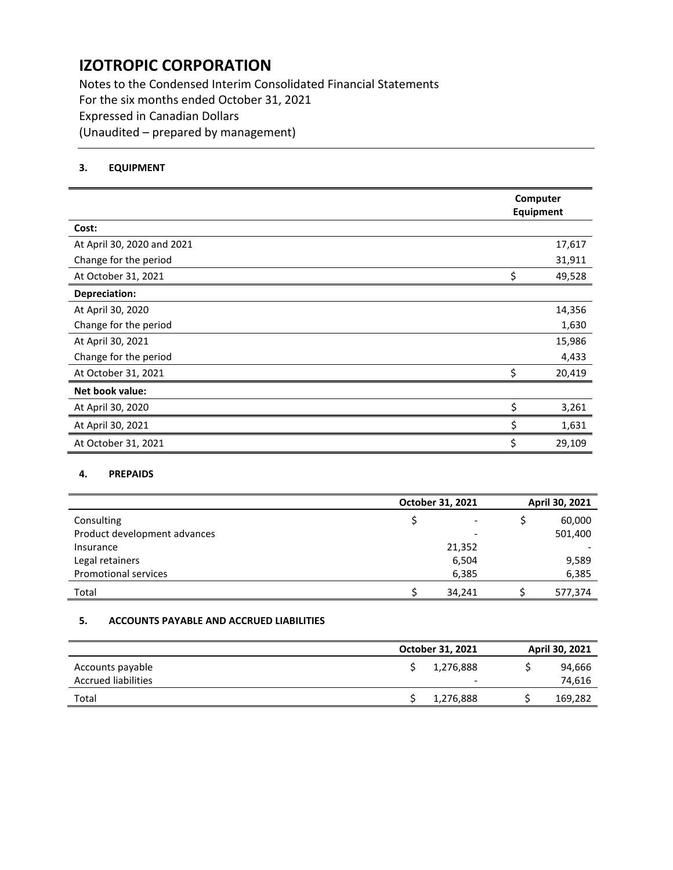Notes to the Condensed Interim Consolidated Financial Statements For the six months ended October 31, 2021 Expressed in Canadian Dollars (Unaudited – prepared by management)

# **3. EQUIPMENT**

|                            |    | Computer<br>Equipment |
|----------------------------|----|-----------------------|
| Cost:                      |    |                       |
| At April 30, 2020 and 2021 |    | 17,617                |
| Change for the period      |    | 31,911                |
| At October 31, 2021        | \$ | 49,528                |
| Depreciation:              |    |                       |
| At April 30, 2020          |    | 14,356                |
| Change for the period      |    | 1,630                 |
| At April 30, 2021          |    | 15,986                |
| Change for the period      |    | 4,433                 |
| At October 31, 2021        | ς  | 20,419                |
| Net book value:            |    |                       |
| At April 30, 2020          | \$ | 3,261                 |
| At April 30, 2021          | \$ | 1,631                 |
| At October 31, 2021        | \$ | 29,109                |

### **4. PREPAIDS**

|                              | October 31, 2021 | April 30, 2021 |  |  |
|------------------------------|------------------|----------------|--|--|
| Consulting                   |                  | 60,000         |  |  |
| Product development advances |                  | 501,400        |  |  |
| Insurance                    | 21,352           |                |  |  |
| Legal retainers              | 6,504            | 9,589          |  |  |
| Promotional services         | 6,385            | 6,385          |  |  |
| Total                        | 34,241           | 577,374        |  |  |

### **5. ACCOUNTS PAYABLE AND ACCRUED LIABILITIES**

|                            | October 31, 2021         | April 30, 2021 |  |  |
|----------------------------|--------------------------|----------------|--|--|
| Accounts payable           | 1,276,888                | 94,666         |  |  |
| <b>Accrued liabilities</b> | $\overline{\phantom{0}}$ | 74,616         |  |  |
| Total                      | 1,276,888                | 169,282        |  |  |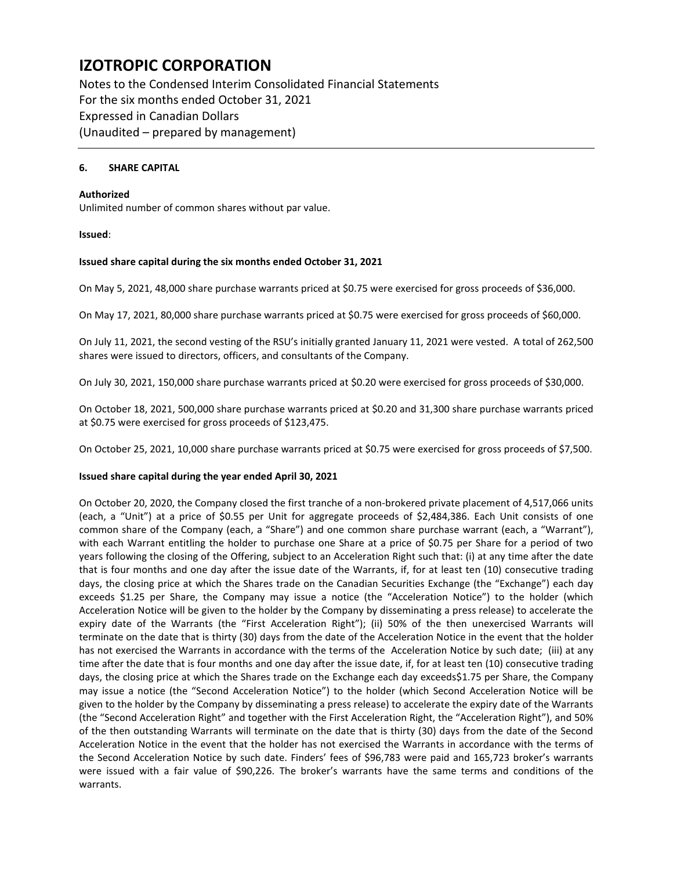Notes to the Condensed Interim Consolidated Financial Statements For the six months ended October 31, 2021 Expressed in Canadian Dollars (Unaudited – prepared by management)

### **6. SHARE CAPITAL**

### **Authorized**

Unlimited number of common shares without par value.

### **Issued**:

#### **Issued share capital during the six months ended October 31, 2021**

On May 5, 2021, 48,000 share purchase warrants priced at \$0.75 were exercised for gross proceeds of \$36,000.

On May 17, 2021, 80,000 share purchase warrants priced at \$0.75 were exercised for gross proceeds of \$60,000.

On July 11, 2021, the second vesting of the RSU's initially granted January 11, 2021 were vested. A total of 262,500 shares were issued to directors, officers, and consultants of the Company.

On July 30, 2021, 150,000 share purchase warrants priced at \$0.20 were exercised for gross proceeds of \$30,000.

On October 18, 2021, 500,000 share purchase warrants priced at \$0.20 and 31,300 share purchase warrants priced at \$0.75 were exercised for gross proceeds of \$123,475.

On October 25, 2021, 10,000 share purchase warrants priced at \$0.75 were exercised for gross proceeds of \$7,500.

#### **Issued share capital during the year ended April 30, 2021**

On October 20, 2020, the Company closed the first tranche of a non-brokered private placement of 4,517,066 units (each, a "Unit") at a price of \$0.55 per Unit for aggregate proceeds of \$2,484,386. Each Unit consists of one common share of the Company (each, a "Share") and one common share purchase warrant (each, a "Warrant"), with each Warrant entitling the holder to purchase one Share at a price of \$0.75 per Share for a period of two years following the closing of the Offering, subject to an Acceleration Right such that: (i) at any time after the date that is four months and one day after the issue date of the Warrants, if, for at least ten (10) consecutive trading days, the closing price at which the Shares trade on the Canadian Securities Exchange (the "Exchange") each day exceeds \$1.25 per Share, the Company may issue a notice (the "Acceleration Notice") to the holder (which Acceleration Notice will be given to the holder by the Company by disseminating a press release) to accelerate the expiry date of the Warrants (the "First Acceleration Right"); (ii) 50% of the then unexercised Warrants will terminate on the date that is thirty (30) days from the date of the Acceleration Notice in the event that the holder has not exercised the Warrants in accordance with the terms of the Acceleration Notice by such date; (iii) at any time after the date that is four months and one day after the issue date, if, for at least ten (10) consecutive trading days, the closing price at which the Shares trade on the Exchange each day exceeds\$1.75 per Share, the Company may issue a notice (the "Second Acceleration Notice") to the holder (which Second Acceleration Notice will be given to the holder by the Company by disseminating a press release) to accelerate the expiry date of the Warrants (the "Second Acceleration Right" and together with the First Acceleration Right, the "Acceleration Right"), and 50% of the then outstanding Warrants will terminate on the date that is thirty (30) days from the date of the Second Acceleration Notice in the event that the holder has not exercised the Warrants in accordance with the terms of the Second Acceleration Notice by such date. Finders' fees of \$96,783 were paid and 165,723 broker's warrants were issued with a fair value of \$90,226. The broker's warrants have the same terms and conditions of the warrants.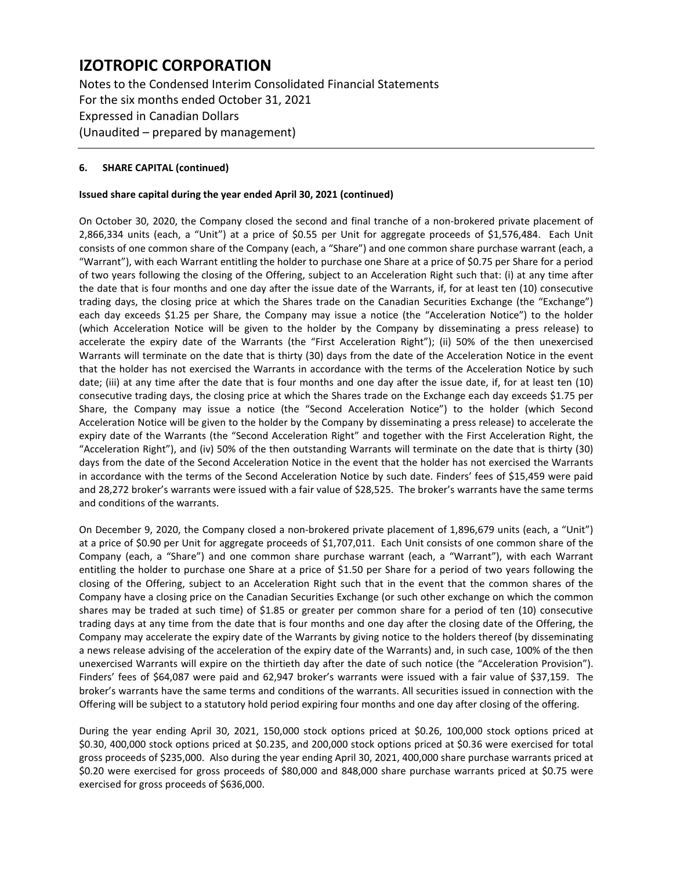Notes to the Condensed Interim Consolidated Financial Statements For the six months ended October 31, 2021 Expressed in Canadian Dollars (Unaudited – prepared by management)

### **6. SHARE CAPITAL (continued)**

### **Issued share capital during the year ended April 30, 2021 (continued)**

On October 30, 2020, the Company closed the second and final tranche of a non-brokered private placement of 2,866,334 units (each, a "Unit") at a price of \$0.55 per Unit for aggregate proceeds of \$1,576,484. Each Unit consists of one common share of the Company (each, a "Share") and one common share purchase warrant (each, a "Warrant"), with each Warrant entitling the holder to purchase one Share at a price of \$0.75 per Share for a period of two years following the closing of the Offering, subject to an Acceleration Right such that: (i) at any time after the date that is four months and one day after the issue date of the Warrants, if, for at least ten (10) consecutive trading days, the closing price at which the Shares trade on the Canadian Securities Exchange (the "Exchange") each day exceeds \$1.25 per Share, the Company may issue a notice (the "Acceleration Notice") to the holder (which Acceleration Notice will be given to the holder by the Company by disseminating a press release) to accelerate the expiry date of the Warrants (the "First Acceleration Right"); (ii) 50% of the then unexercised Warrants will terminate on the date that is thirty (30) days from the date of the Acceleration Notice in the event that the holder has not exercised the Warrants in accordance with the terms of the Acceleration Notice by such date; (iii) at any time after the date that is four months and one day after the issue date, if, for at least ten (10) consecutive trading days, the closing price at which the Shares trade on the Exchange each day exceeds \$1.75 per Share, the Company may issue a notice (the "Second Acceleration Notice") to the holder (which Second Acceleration Notice will be given to the holder by the Company by disseminating a press release) to accelerate the expiry date of the Warrants (the "Second Acceleration Right" and together with the First Acceleration Right, the "Acceleration Right"), and (iv) 50% of the then outstanding Warrants will terminate on the date that is thirty (30) days from the date of the Second Acceleration Notice in the event that the holder has not exercised the Warrants in accordance with the terms of the Second Acceleration Notice by such date. Finders' fees of \$15,459 were paid and 28,272 broker's warrants were issued with a fair value of \$28,525. The broker's warrants have the same terms and conditions of the warrants.

On December 9, 2020, the Company closed a non-brokered private placement of 1,896,679 units (each, a "Unit") at a price of \$0.90 per Unit for aggregate proceeds of \$1,707,011. Each Unit consists of one common share of the Company (each, a "Share") and one common share purchase warrant (each, a "Warrant"), with each Warrant entitling the holder to purchase one Share at a price of \$1.50 per Share for a period of two years following the closing of the Offering, subject to an Acceleration Right such that in the event that the common shares of the Company have a closing price on the Canadian Securities Exchange (or such other exchange on which the common shares may be traded at such time) of \$1.85 or greater per common share for a period of ten (10) consecutive trading days at any time from the date that is four months and one day after the closing date of the Offering, the Company may accelerate the expiry date of the Warrants by giving notice to the holders thereof (by disseminating a news release advising of the acceleration of the expiry date of the Warrants) and, in such case, 100% of the then unexercised Warrants will expire on the thirtieth day after the date of such notice (the "Acceleration Provision"). Finders' fees of \$64,087 were paid and 62,947 broker's warrants were issued with a fair value of \$37,159. The broker's warrants have the same terms and conditions of the warrants. All securities issued in connection with the Offering will be subject to a statutory hold period expiring four months and one day after closing of the offering.

During the year ending April 30, 2021, 150,000 stock options priced at \$0.26, 100,000 stock options priced at \$0.30, 400,000 stock options priced at \$0.235, and 200,000 stock options priced at \$0.36 were exercised for total gross proceeds of \$235,000. Also during the year ending April 30, 2021, 400,000 share purchase warrants priced at \$0.20 were exercised for gross proceeds of \$80,000 and 848,000 share purchase warrants priced at \$0.75 were exercised for gross proceeds of \$636,000.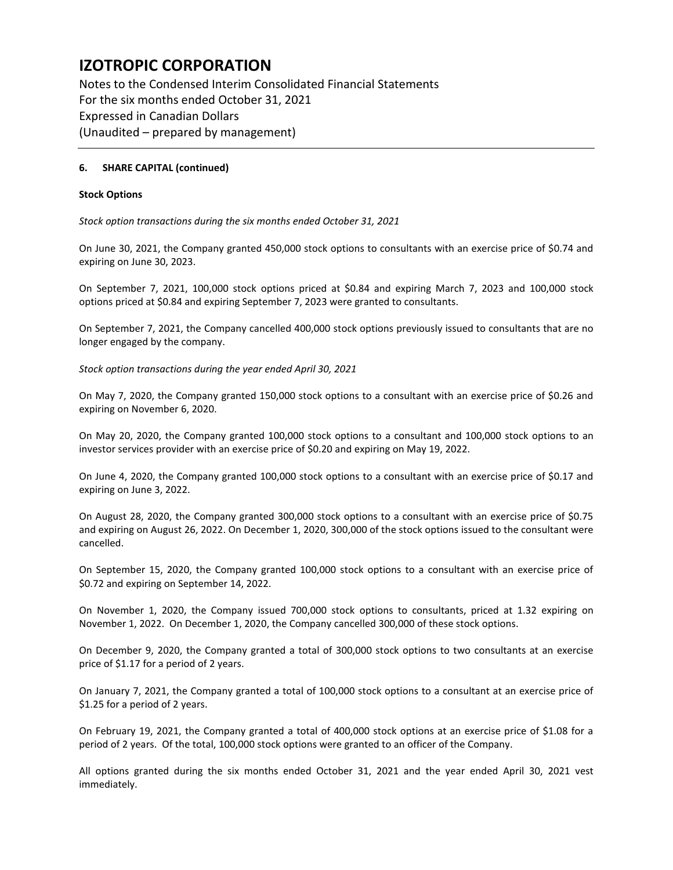Notes to the Condensed Interim Consolidated Financial Statements For the six months ended October 31, 2021 Expressed in Canadian Dollars (Unaudited – prepared by management)

### **6. SHARE CAPITAL (continued)**

### **Stock Options**

*Stock option transactions during the six months ended October 31, 2021*

On June 30, 2021, the Company granted 450,000 stock options to consultants with an exercise price of \$0.74 and expiring on June 30, 2023.

On September 7, 2021, 100,000 stock options priced at \$0.84 and expiring March 7, 2023 and 100,000 stock options priced at \$0.84 and expiring September 7, 2023 were granted to consultants.

On September 7, 2021, the Company cancelled 400,000 stock options previously issued to consultants that are no longer engaged by the company.

*Stock option transactions during the year ended April 30, 2021*

On May 7, 2020, the Company granted 150,000 stock options to a consultant with an exercise price of \$0.26 and expiring on November 6, 2020.

On May 20, 2020, the Company granted 100,000 stock options to a consultant and 100,000 stock options to an investor services provider with an exercise price of \$0.20 and expiring on May 19, 2022.

On June 4, 2020, the Company granted 100,000 stock options to a consultant with an exercise price of \$0.17 and expiring on June 3, 2022.

On August 28, 2020, the Company granted 300,000 stock options to a consultant with an exercise price of \$0.75 and expiring on August 26, 2022. On December 1, 2020, 300,000 of the stock options issued to the consultant were cancelled.

On September 15, 2020, the Company granted 100,000 stock options to a consultant with an exercise price of \$0.72 and expiring on September 14, 2022.

On November 1, 2020, the Company issued 700,000 stock options to consultants, priced at 1.32 expiring on November 1, 2022. On December 1, 2020, the Company cancelled 300,000 of these stock options.

On December 9, 2020, the Company granted a total of 300,000 stock options to two consultants at an exercise price of \$1.17 for a period of 2 years.

On January 7, 2021, the Company granted a total of 100,000 stock options to a consultant at an exercise price of \$1.25 for a period of 2 years.

On February 19, 2021, the Company granted a total of 400,000 stock options at an exercise price of \$1.08 for a period of 2 years. Of the total, 100,000 stock options were granted to an officer of the Company.

All options granted during the six months ended October 31, 2021 and the year ended April 30, 2021 vest immediately.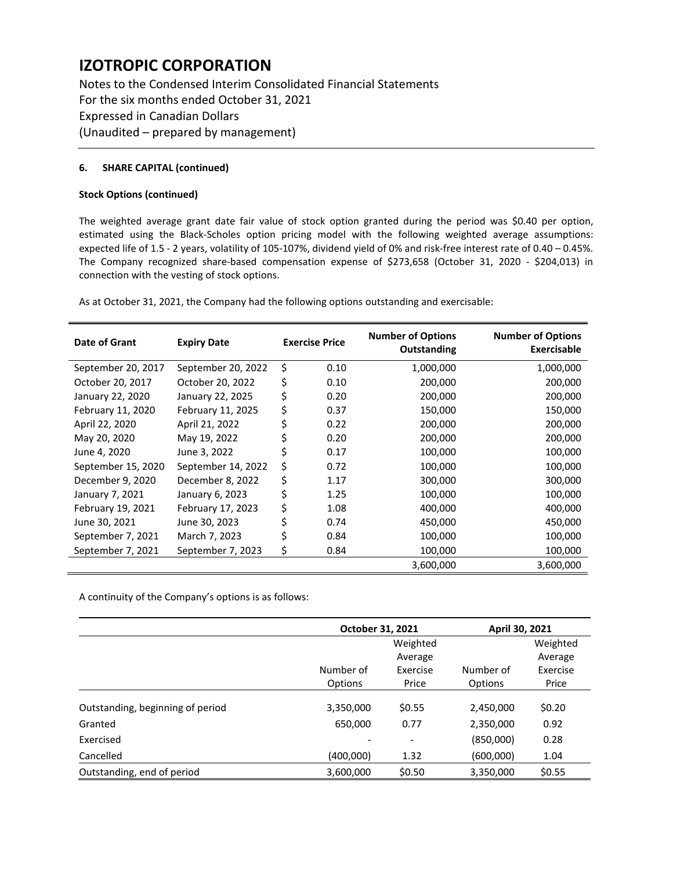Notes to the Condensed Interim Consolidated Financial Statements For the six months ended October 31, 2021 Expressed in Canadian Dollars (Unaudited – prepared by management)

### **6. SHARE CAPITAL (continued)**

#### **Stock Options (continued)**

The weighted average grant date fair value of stock option granted during the period was \$0.40 per option, estimated using the Black-Scholes option pricing model with the following weighted average assumptions: expected life of 1.5 - 2 years, volatility of 105-107%, dividend yield of 0% and risk-free interest rate of 0.40 – 0.45%. The Company recognized share-based compensation expense of \$273,658 (October 31, 2020 - \$204,013) in connection with the vesting of stock options.

As at October 31, 2021, the Company had the following options outstanding and exercisable:

| Date of Grant      | <b>Expiry Date</b> | <b>Exercise Price</b> |      | <b>Number of Options</b><br>Outstanding | <b>Number of Options</b><br>Exercisable |
|--------------------|--------------------|-----------------------|------|-----------------------------------------|-----------------------------------------|
| September 20, 2017 | September 20, 2022 | \$                    | 0.10 | 1,000,000                               | 1,000,000                               |
| October 20, 2017   | October 20, 2022   | \$                    | 0.10 | 200,000                                 | 200,000                                 |
| January 22, 2020   | January 22, 2025   | \$                    | 0.20 | 200,000                                 | 200,000                                 |
| February 11, 2020  | February 11, 2025  | \$                    | 0.37 | 150,000                                 | 150,000                                 |
| April 22, 2020     | April 21, 2022     |                       | 0.22 | 200,000                                 | 200,000                                 |
| May 20, 2020       | May 19, 2022       |                       | 0.20 | 200,000                                 | 200,000                                 |
| June 4, 2020       | June 3, 2022       |                       | 0.17 | 100,000                                 | 100,000                                 |
| September 15, 2020 | September 14, 2022 | \$                    | 0.72 | 100,000                                 | 100,000                                 |
| December 9, 2020   | December 8, 2022   | \$                    | 1.17 | 300,000                                 | 300,000                                 |
| January 7, 2021    | January 6, 2023    | \$                    | 1.25 | 100,000                                 | 100,000                                 |
| February 19, 2021  | February 17, 2023  | \$                    | 1.08 | 400,000                                 | 400,000                                 |
| June 30, 2021      | June 30, 2023      |                       | 0.74 | 450,000                                 | 450,000                                 |
| September 7, 2021  | March 7, 2023      |                       | 0.84 | 100,000                                 | 100,000                                 |
| September 7, 2021  | September 7, 2023  | \$                    | 0.84 | 100,000                                 | 100,000                                 |
|                    |                    |                       |      | 3,600,000                               | 3,600,000                               |

A continuity of the Company's options is as follows:

|                                  | October 31, 2021 |                | April 30, 2021 |          |  |
|----------------------------------|------------------|----------------|----------------|----------|--|
|                                  |                  | Weighted       |                | Weighted |  |
|                                  |                  | Average        |                | Average  |  |
|                                  | Number of        | Exercise       | Number of      | Exercise |  |
|                                  | Options          | Price          | Options        | Price    |  |
| Outstanding, beginning of period | 3,350,000        | \$0.55         | 2,450,000      | \$0.20   |  |
| Granted                          | 650,000          | 0.77           | 2,350,000      | 0.92     |  |
| Exercised                        |                  | $\overline{a}$ | (850,000)      | 0.28     |  |
| Cancelled                        | (400,000)        | 1.32           | (600,000)      | 1.04     |  |
| Outstanding, end of period       | 3,600,000        | \$0.50         | 3,350,000      | \$0.55   |  |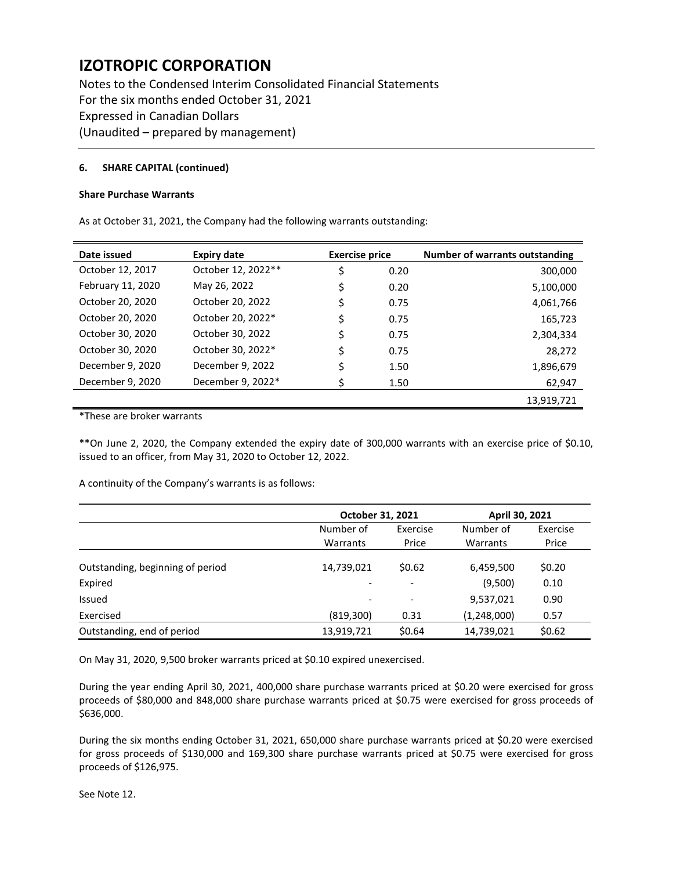Notes to the Condensed Interim Consolidated Financial Statements For the six months ended October 31, 2021 Expressed in Canadian Dollars (Unaudited – prepared by management)

### **6. SHARE CAPITAL (continued)**

#### **Share Purchase Warrants**

As at October 31, 2021, the Company had the following warrants outstanding:

| Date issued       | <b>Expiry date</b> | <b>Exercise price</b> |      | <b>Number of warrants outstanding</b> |
|-------------------|--------------------|-----------------------|------|---------------------------------------|
| October 12, 2017  | October 12, 2022** |                       | 0.20 | 300,000                               |
| February 11, 2020 | May 26, 2022       | \$                    | 0.20 | 5,100,000                             |
| October 20, 2020  | October 20, 2022   |                       | 0.75 | 4,061,766                             |
| October 20, 2020  | October 20, 2022*  |                       | 0.75 | 165,723                               |
| October 30, 2020  | October 30, 2022   | \$                    | 0.75 | 2,304,334                             |
| October 30, 2020  | October 30, 2022*  |                       | 0.75 | 28,272                                |
| December 9, 2020  | December 9, 2022   |                       | 1.50 | 1,896,679                             |
| December 9, 2020  | December 9, 2022*  |                       | 1.50 | 62,947                                |
|                   |                    |                       |      | 13,919,721                            |

\*These are broker warrants

\*\*On June 2, 2020, the Company extended the expiry date of 300,000 warrants with an exercise price of \$0.10, issued to an officer, from May 31, 2020 to October 12, 2022.

A continuity of the Company's warrants is as follows:

|                                  | October 31, 2021         |                          | April 30, 2021 |          |
|----------------------------------|--------------------------|--------------------------|----------------|----------|
|                                  | Number of                | Exercise                 | Number of      | Exercise |
|                                  | Warrants                 | Price                    | Warrants       | Price    |
| Outstanding, beginning of period | 14,739,021               | \$0.62                   | 6,459,500      | \$0.20   |
| Expired                          | $\overline{\phantom{a}}$ | $\overline{\phantom{a}}$ | (9,500)        | 0.10     |
| Issued                           | $\overline{\phantom{a}}$ | $\overline{\phantom{a}}$ | 9,537,021      | 0.90     |
| Exercised                        | (819, 300)               | 0.31                     | (1,248,000)    | 0.57     |
| Outstanding, end of period       | 13,919,721               | \$0.64                   | 14,739,021     | \$0.62   |

On May 31, 2020, 9,500 broker warrants priced at \$0.10 expired unexercised.

During the year ending April 30, 2021, 400,000 share purchase warrants priced at \$0.20 were exercised for gross proceeds of \$80,000 and 848,000 share purchase warrants priced at \$0.75 were exercised for gross proceeds of \$636,000.

During the six months ending October 31, 2021, 650,000 share purchase warrants priced at \$0.20 were exercised for gross proceeds of \$130,000 and 169,300 share purchase warrants priced at \$0.75 were exercised for gross proceeds of \$126,975.

See Note 12.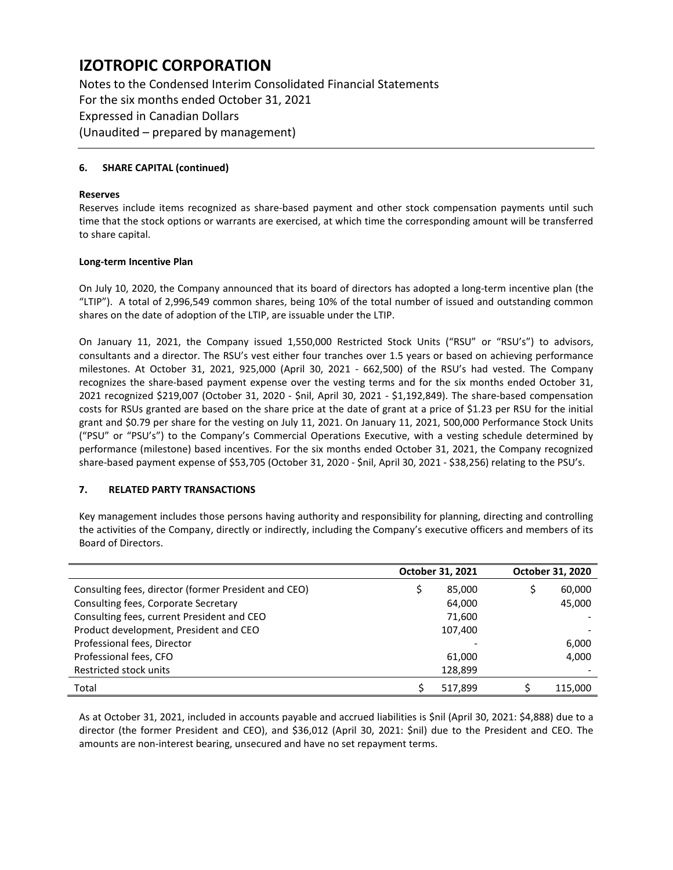Notes to the Condensed Interim Consolidated Financial Statements For the six months ended October 31, 2021 Expressed in Canadian Dollars (Unaudited – prepared by management)

### **6. SHARE CAPITAL (continued)**

#### **Reserves**

Reserves include items recognized as share-based payment and other stock compensation payments until such time that the stock options or warrants are exercised, at which time the corresponding amount will be transferred to share capital.

#### **Long-term Incentive Plan**

On July 10, 2020, the Company announced that its board of directors has adopted a long-term incentive plan (the "LTIP"). A total of 2,996,549 common shares, being 10% of the total number of issued and outstanding common shares on the date of adoption of the LTIP, are issuable under the LTIP.

On January 11, 2021, the Company issued 1,550,000 Restricted Stock Units ("RSU" or "RSU's") to advisors, consultants and a director. The RSU's vest either four tranches over 1.5 years or based on achieving performance milestones. At October 31, 2021, 925,000 (April 30, 2021 - 662,500) of the RSU's had vested. The Company recognizes the share-based payment expense over the vesting terms and for the six months ended October 31, 2021 recognized \$219,007 (October 31, 2020 - \$nil, April 30, 2021 - \$1,192,849). The share-based compensation costs for RSUs granted are based on the share price at the date of grant at a price of \$1.23 per RSU for the initial grant and \$0.79 per share for the vesting on July 11, 2021. On January 11, 2021, 500,000 Performance Stock Units ("PSU" or "PSU's") to the Company's Commercial Operations Executive, with a vesting schedule determined by performance (milestone) based incentives. For the six months ended October 31, 2021, the Company recognized share-based payment expense of \$53,705 (October 31, 2020 - \$nil, April 30, 2021 - \$38,256) relating to the PSU's.

# **7. RELATED PARTY TRANSACTIONS**

Key management includes those persons having authority and responsibility for planning, directing and controlling the activities of the Company, directly or indirectly, including the Company's executive officers and members of its Board of Directors.

|                                                      | October 31, 2021 |         | October 31, 2020 |
|------------------------------------------------------|------------------|---------|------------------|
| Consulting fees, director (former President and CEO) |                  | 85,000  | 60,000           |
| Consulting fees, Corporate Secretary                 |                  | 64,000  | 45,000           |
| Consulting fees, current President and CEO           |                  | 71,600  |                  |
| Product development, President and CEO               |                  | 107,400 |                  |
| Professional fees, Director                          |                  |         | 6,000            |
| Professional fees, CFO                               |                  | 61,000  | 4,000            |
| Restricted stock units                               |                  | 128,899 |                  |
| Total                                                |                  | 517,899 | 115,000          |

As at October 31, 2021, included in accounts payable and accrued liabilities is \$nil (April 30, 2021: \$4,888) due to a director (the former President and CEO), and \$36,012 (April 30, 2021: \$nil) due to the President and CEO. The amounts are non-interest bearing, unsecured and have no set repayment terms.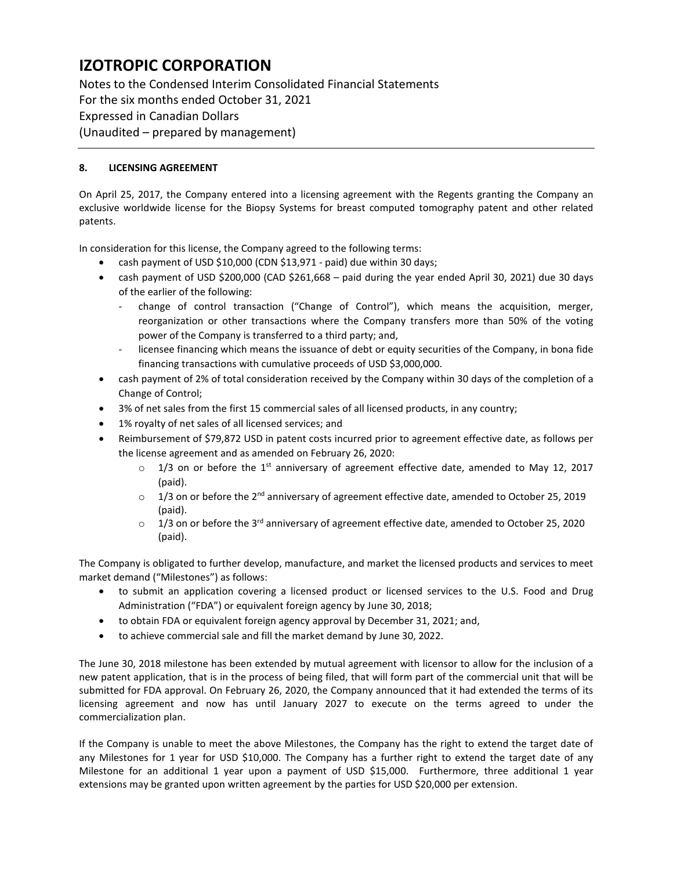Notes to the Condensed Interim Consolidated Financial Statements For the six months ended October 31, 2021 Expressed in Canadian Dollars (Unaudited – prepared by management)

# **8. LICENSING AGREEMENT**

On April 25, 2017, the Company entered into a licensing agreement with the Regents granting the Company an exclusive worldwide license for the Biopsy Systems for breast computed tomography patent and other related patents.

In consideration for this license, the Company agreed to the following terms:

- cash payment of USD \$10,000 (CDN \$13,971 paid) due within 30 days;
- cash payment of USD \$200,000 (CAD \$261,668 paid during the year ended April 30, 2021) due 30 days of the earlier of the following:
	- change of control transaction ("Change of Control"), which means the acquisition, merger, reorganization or other transactions where the Company transfers more than 50% of the voting power of the Company is transferred to a third party; and,
	- licensee financing which means the issuance of debt or equity securities of the Company, in bona fide financing transactions with cumulative proceeds of USD \$3,000,000.
- cash payment of 2% of total consideration received by the Company within 30 days of the completion of a Change of Control;
- 3% of net sales from the first 15 commercial sales of all licensed products, in any country;
- 1% royalty of net sales of all licensed services; and
- Reimbursement of \$79,872 USD in patent costs incurred prior to agreement effective date, as follows per the license agreement and as amended on February 26, 2020:
	- $\circ$  1/3 on or before the 1<sup>st</sup> anniversary of agreement effective date, amended to May 12, 2017 (paid).
	- $\circ$  1/3 on or before the 2<sup>nd</sup> anniversary of agreement effective date, amended to October 25, 2019 (paid).
	- $\circ$  1/3 on or before the 3<sup>rd</sup> anniversary of agreement effective date, amended to October 25, 2020 (paid).

The Company is obligated to further develop, manufacture, and market the licensed products and services to meet market demand ("Milestones") as follows:

- to submit an application covering a licensed product or licensed services to the U.S. Food and Drug Administration ("FDA") or equivalent foreign agency by June 30, 2018;
- to obtain FDA or equivalent foreign agency approval by December 31, 2021; and,
- to achieve commercial sale and fill the market demand by June 30, 2022.

The June 30, 2018 milestone has been extended by mutual agreement with licensor to allow for the inclusion of a new patent application, that is in the process of being filed, that will form part of the commercial unit that will be submitted for FDA approval. On February 26, 2020, the Company announced that it had extended the terms of its licensing agreement and now has until January 2027 to execute on the terms agreed to under the commercialization plan.

If the Company is unable to meet the above Milestones, the Company has the right to extend the target date of any Milestones for 1 year for USD \$10,000. The Company has a further right to extend the target date of any Milestone for an additional 1 year upon a payment of USD \$15,000. Furthermore, three additional 1 year extensions may be granted upon written agreement by the parties for USD \$20,000 per extension.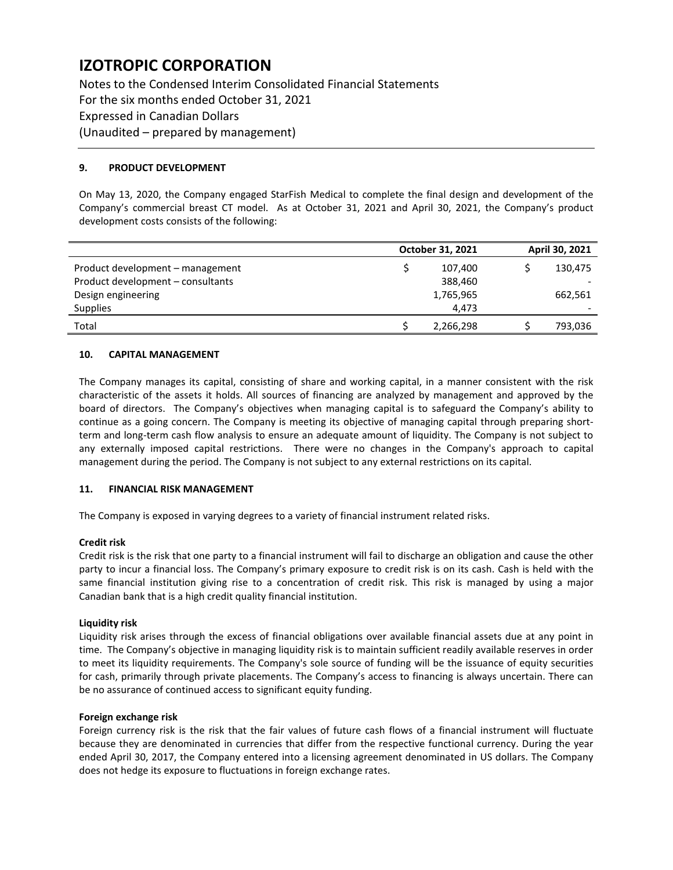Notes to the Condensed Interim Consolidated Financial Statements For the six months ended October 31, 2021 Expressed in Canadian Dollars (Unaudited – prepared by management)

### **9. PRODUCT DEVELOPMENT**

On May 13, 2020, the Company engaged StarFish Medical to complete the final design and development of the Company's commercial breast CT model. As at October 31, 2021 and April 30, 2021, the Company's product development costs consists of the following:

|                                   | October 31, 2021 |           | April 30, 2021 |  |
|-----------------------------------|------------------|-----------|----------------|--|
| Product development – management  |                  | 107,400   | 130,475        |  |
| Product development – consultants |                  | 388,460   |                |  |
| Design engineering                |                  | 1,765,965 | 662,561        |  |
| <b>Supplies</b>                   |                  | 4.473     |                |  |
| Total                             |                  | 2,266,298 | 793,036        |  |

### **10. CAPITAL MANAGEMENT**

The Company manages its capital, consisting of share and working capital, in a manner consistent with the risk characteristic of the assets it holds. All sources of financing are analyzed by management and approved by the board of directors. The Company's objectives when managing capital is to safeguard the Company's ability to continue as a going concern. The Company is meeting its objective of managing capital through preparing shortterm and long-term cash flow analysis to ensure an adequate amount of liquidity. The Company is not subject to any externally imposed capital restrictions. There were no changes in the Company's approach to capital management during the period. The Company is not subject to any external restrictions on its capital.

#### **11. FINANCIAL RISK MANAGEMENT**

The Company is exposed in varying degrees to a variety of financial instrument related risks.

#### **Credit risk**

Credit risk is the risk that one party to a financial instrument will fail to discharge an obligation and cause the other party to incur a financial loss. The Company's primary exposure to credit risk is on its cash. Cash is held with the same financial institution giving rise to a concentration of credit risk. This risk is managed by using a major Canadian bank that is a high credit quality financial institution.

#### **Liquidity risk**

Liquidity risk arises through the excess of financial obligations over available financial assets due at any point in time. The Company's objective in managing liquidity risk is to maintain sufficient readily available reserves in order to meet its liquidity requirements. The Company's sole source of funding will be the issuance of equity securities for cash, primarily through private placements. The Company's access to financing is always uncertain. There can be no assurance of continued access to significant equity funding.

#### **Foreign exchange risk**

Foreign currency risk is the risk that the fair values of future cash flows of a financial instrument will fluctuate because they are denominated in currencies that differ from the respective functional currency. During the year ended April 30, 2017, the Company entered into a licensing agreement denominated in US dollars. The Company does not hedge its exposure to fluctuations in foreign exchange rates.